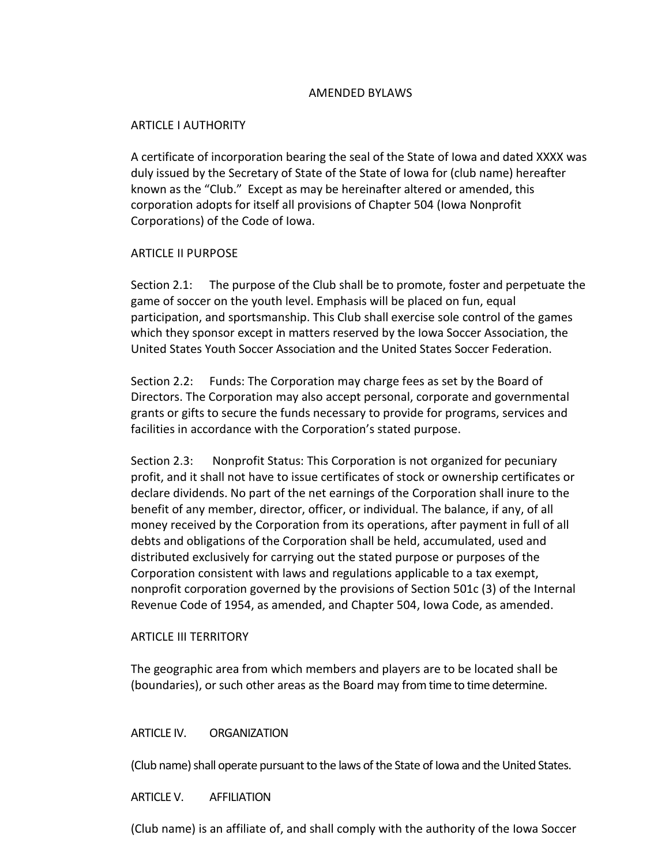## AMENDED BYLAWS

## ARTICLE I AUTHORITY

A certificate of incorporation bearing the seal of the State of Iowa and dated XXXX was duly issued by the Secretary of State of the State of Iowa for (club name) hereafter known as the "Club." Except as may be hereinafter altered or amended, this corporation adopts for itself all provisions of Chapter 504 (Iowa Nonprofit Corporations) of the Code of Iowa.

#### ARTICLE II PURPOSE

Section 2.1: The purpose of the Club shall be to promote, foster and perpetuate the game of soccer on the youth level. Emphasis will be placed on fun, equal participation, and sportsmanship. This Club shall exercise sole control of the games which they sponsor except in matters reserved by the Iowa Soccer Association, the United States Youth Soccer Association and the United States Soccer Federation.

Section 2.2: Funds: The Corporation may charge fees as set by the Board of Directors. The Corporation may also accept personal, corporate and governmental grants or gifts to secure the funds necessary to provide for programs, services and facilities in accordance with the Corporation's stated purpose.

Section 2.3: Nonprofit Status: This Corporation is not organized for pecuniary profit, and it shall not have to issue certificates of stock or ownership certificates or declare dividends. No part of the net earnings of the Corporation shall inure to the benefit of any member, director, officer, or individual. The balance, if any, of all money received by the Corporation from its operations, after payment in full of all debts and obligations of the Corporation shall be held, accumulated, used and distributed exclusively for carrying out the stated purpose or purposes of the Corporation consistent with laws and regulations applicable to a tax exempt, nonprofit corporation governed by the provisions of Section 501c (3) of the Internal Revenue Code of 1954, as amended, and Chapter 504, Iowa Code, as amended.

#### ARTICLE III TERRITORY

The geographic area from which members and players are to be located shall be (boundaries), or such other areas as the Board may from time to time determine.

## ARTICLE IV. ORGANIZATION

(Club name) shall operate pursuant to the laws of the State of Iowa and the United States.

## ARTICLE V. AFFILIATION

(Club name) is an affiliate of, and shall comply with the authority of the Iowa Soccer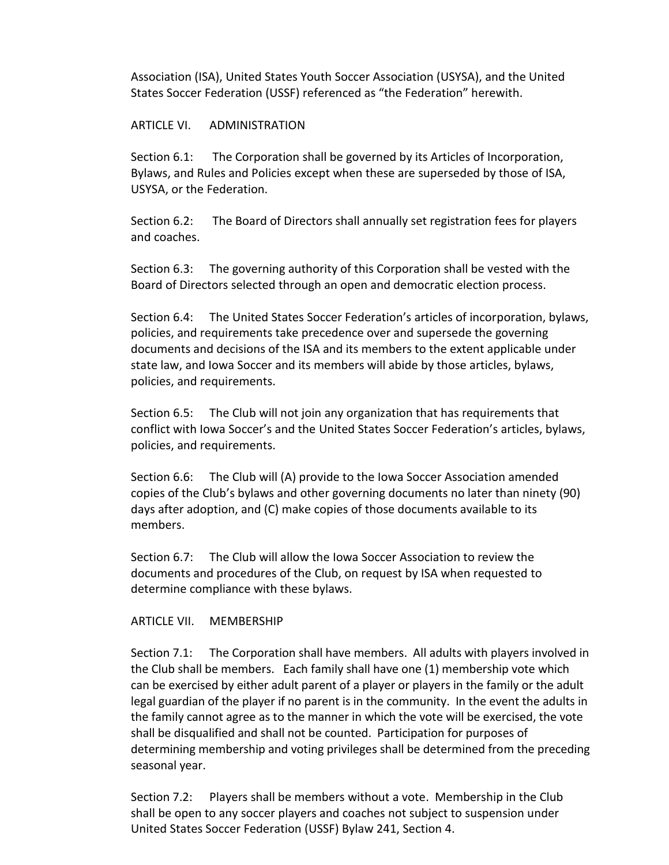Association (ISA), United States Youth Soccer Association (USYSA), and the United States Soccer Federation (USSF) referenced as "the Federation" herewith.

# ARTICLE VI. ADMINISTRATION

Section 6.1: The Corporation shall be governed by its Articles of Incorporation, Bylaws, and Rules and Policies except when these are superseded by those of ISA, USYSA, or the Federation.

Section 6.2: The Board of Directors shall annually set registration fees for players and coaches.

Section 6.3: The governing authority of this Corporation shall be vested with the Board of Directors selected through an open and democratic election process.

Section 6.4: The United States Soccer Federation's articles of incorporation, bylaws, policies, and requirements take precedence over and supersede the governing documents and decisions of the ISA and its members to the extent applicable under state law, and Iowa Soccer and its members will abide by those articles, bylaws, policies, and requirements.

Section 6.5: The Club will not join any organization that has requirements that conflict with Iowa Soccer's and the United States Soccer Federation's articles, bylaws, policies, and requirements.

Section 6.6: The Club will (A) provide to the Iowa Soccer Association amended copies of the Club's bylaws and other governing documents no later than ninety (90) days after adoption, and (C) make copies of those documents available to its members.

Section 6.7: The Club will allow the Iowa Soccer Association to review the documents and procedures of the Club, on request by ISA when requested to determine compliance with these bylaws.

## ARTICLE VII. MEMBERSHIP

Section 7.1: The Corporation shall have members. All adults with players involved in the Club shall be members. Each family shall have one (1) membership vote which can be exercised by either adult parent of a player or players in the family or the adult legal guardian of the player if no parent is in the community. In the event the adults in the family cannot agree as to the manner in which the vote will be exercised, the vote shall be disqualified and shall not be counted. Participation for purposes of determining membership and voting privileges shall be determined from the preceding seasonal year.

Section 7.2: Players shall be members without a vote. Membership in the Club shall be open to any soccer players and coaches not subject to suspension under United States Soccer Federation (USSF) Bylaw 241, Section 4.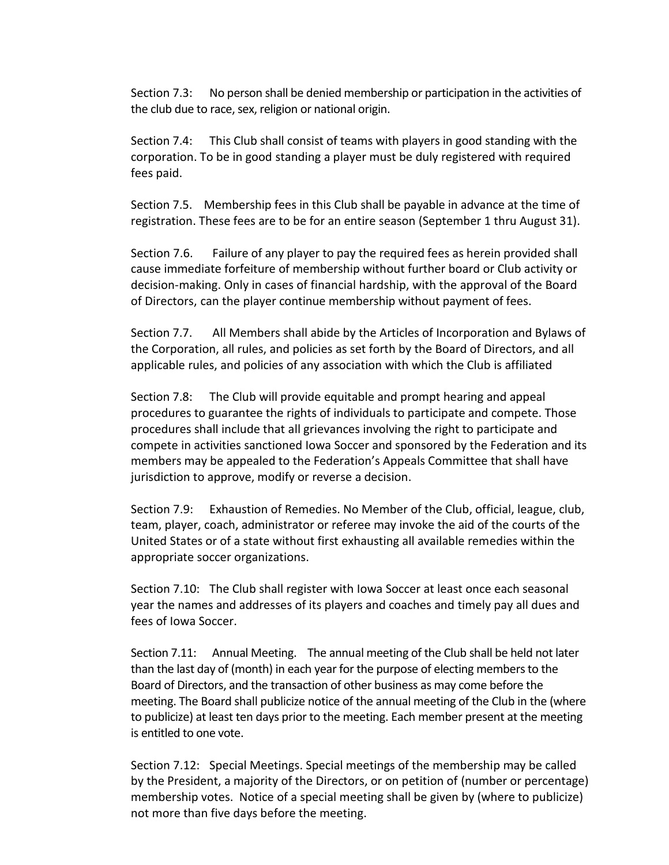Section 7.3: No person shall be denied membership or participation in the activities of the club due to race, sex, religion or national origin.

Section 7.4: This Club shall consist of teams with players in good standing with the corporation. To be in good standing a player must be duly registered with required fees paid.

Section 7.5. Membership fees in this Club shall be payable in advance at the time of registration. These fees are to be for an entire season (September 1 thru August 31).

Section 7.6. Failure of any player to pay the required fees as herein provided shall cause immediate forfeiture of membership without further board or Club activity or decision-making. Only in cases of financial hardship, with the approval of the Board of Directors, can the player continue membership without payment of fees.

Section 7.7. All Members shall abide by the Articles of Incorporation and Bylaws of the Corporation, all rules, and policies as set forth by the Board of Directors, and all applicable rules, and policies of any association with which the Club is affiliated

Section 7.8: The Club will provide equitable and prompt hearing and appeal procedures to guarantee the rights of individuals to participate and compete. Those procedures shall include that all grievances involving the right to participate and compete in activities sanctioned Iowa Soccer and sponsored by the Federation and its members may be appealed to the Federation's Appeals Committee that shall have jurisdiction to approve, modify or reverse a decision.

Section 7.9: Exhaustion of Remedies. No Member of the Club, official, league, club, team, player, coach, administrator or referee may invoke the aid of the courts of the United States or of a state without first exhausting all available remedies within the appropriate soccer organizations.

Section 7.10: The Club shall register with Iowa Soccer at least once each seasonal year the names and addresses of its players and coaches and timely pay all dues and fees of Iowa Soccer.

Section 7.11: Annual Meeting. The annual meeting of the Club shall be held not later than the last day of (month) in each year for the purpose of electing members to the Board of Directors, and the transaction of other business as may come before the meeting. The Board shall publicize notice of the annual meeting of the Club in the (where to publicize) at least ten days prior to the meeting. Each member present at the meeting is entitled to one vote.

Section 7.12: Special Meetings. Special meetings of the membership may be called by the President, a majority of the Directors, or on petition of (number or percentage) membership votes. Notice of a special meeting shall be given by (where to publicize) not more than five days before the meeting.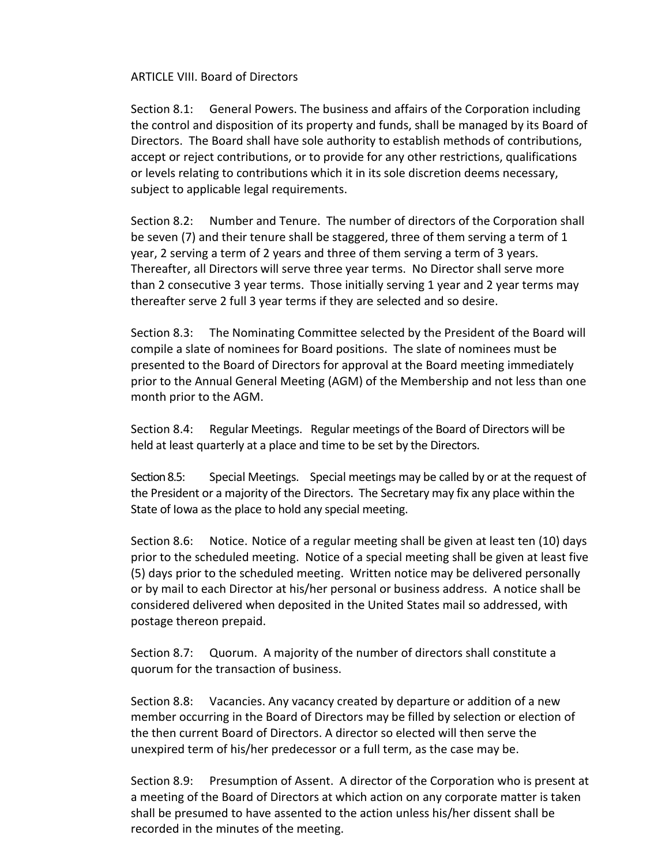ARTICLE VIII. Board of Directors

Section 8.1: General Powers. The business and affairs of the Corporation including the control and disposition of its property and funds, shall be managed by its Board of Directors. The Board shall have sole authority to establish methods of contributions, accept or reject contributions, or to provide for any other restrictions, qualifications or levels relating to contributions which it in its sole discretion deems necessary, subject to applicable legal requirements.

Section 8.2: Number and Tenure. The number of directors of the Corporation shall be seven (7) and their tenure shall be staggered, three of them serving a term of 1 year, 2 serving a term of 2 years and three of them serving a term of 3 years. Thereafter, all Directors will serve three year terms. No Director shall serve more than 2 consecutive 3 year terms. Those initially serving 1 year and 2 year terms may thereafter serve 2 full 3 year terms if they are selected and so desire.

Section 8.3: The Nominating Committee selected by the President of the Board will compile a slate of nominees for Board positions. The slate of nominees must be presented to the Board of Directors for approval at the Board meeting immediately prior to the Annual General Meeting (AGM) of the Membership and not less than one month prior to the AGM.

Section 8.4: Regular Meetings. Regular meetings of the Board of Directors will be held at least quarterly at a place and time to be set by the Directors.

Section 8.5: Special Meetings. Special meetings may be called by or at the request of the President or a majority of the Directors. The Secretary may fix any place within the State of Iowa as the place to hold any special meeting.

Section 8.6: Notice. Notice of a regular meeting shall be given at least ten (10) days prior to the scheduled meeting. Notice of a special meeting shall be given at least five (5) days prior to the scheduled meeting. Written notice may be delivered personally or by mail to each Director at his/her personal or business address. A notice shall be considered delivered when deposited in the United States mail so addressed, with postage thereon prepaid.

Section 8.7: Quorum. A majority of the number of directors shall constitute a quorum for the transaction of business.

Section 8.8: Vacancies. Any vacancy created by departure or addition of a new member occurring in the Board of Directors may be filled by selection or election of the then current Board of Directors. A director so elected will then serve the unexpired term of his/her predecessor or a full term, as the case may be.

Section 8.9: Presumption of Assent. A director of the Corporation who is present at a meeting of the Board of Directors at which action on any corporate matter is taken shall be presumed to have assented to the action unless his/her dissent shall be recorded in the minutes of the meeting.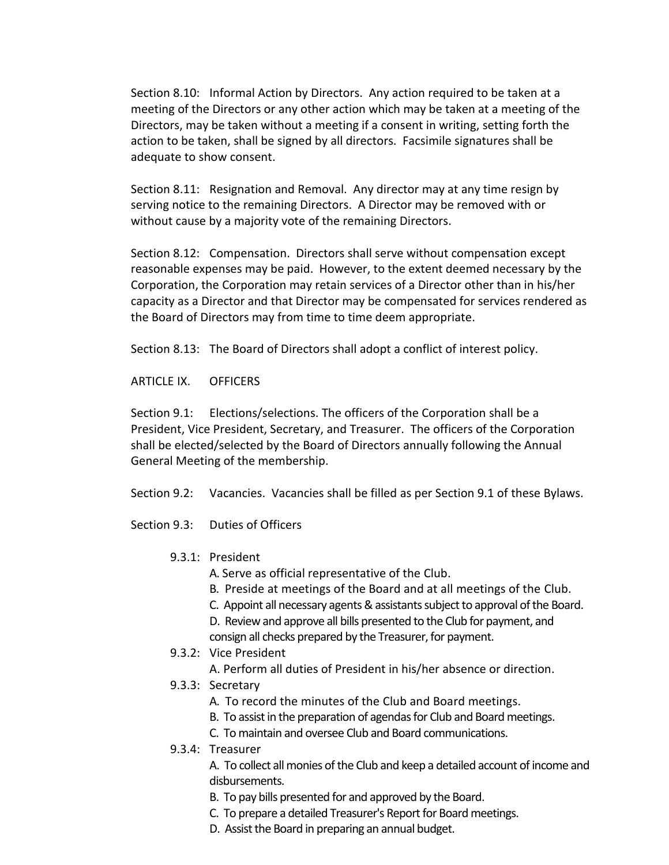Section 8.10: Informal Action by Directors. Any action required to be taken at a meeting of the Directors or any other action which may be taken at a meeting of the Directors, may be taken without a meeting if a consent in writing, setting forth the action to be taken, shall be signed by all directors. Facsimile signatures shall be adequate to show consent.

Section 8.11: Resignation and Removal. Any director may at any time resign by serving notice to the remaining Directors. A Director may be removed with or without cause by a majority vote of the remaining Directors.

Section 8.12: Compensation. Directors shall serve without compensation except reasonable expenses may be paid. However, to the extent deemed necessary by the Corporation, the Corporation may retain services of a Director other than in his/her capacity as a Director and that Director may be compensated for services rendered as the Board of Directors may from time to time deem appropriate.

Section 8.13: The Board of Directors shall adopt a conflict of interest policy.

ARTICLE IX. OFFICERS

Section 9.1: Elections/selections. The officers of the Corporation shall be a President, Vice President, Secretary, and Treasurer. The officers of the Corporation shall be elected/selected by the Board of Directors annually following the Annual General Meeting of the membership.

Section 9.2: Vacancies. Vacancies shall be filled as per Section 9.1 of these Bylaws.

Section 9.3: Duties of Officers

## 9.3.1: President

- A. Serve as official representative of the Club.
- B. Preside at meetings of the Board and at all meetings of the Club.
- C. Appoint all necessary agents & assistants subject to approval of the Board.

D. Review and approve all bills presented to the Club for payment, and consign all checks prepared by the Treasurer, for payment.

# 9.3.2: Vice President

A. Perform all duties of President in his/her absence or direction.

- 9.3.3: Secretary
	- A. To record the minutes of the Club and Board meetings.
	- B. To assist in the preparation of agendas for Club and Board meetings.
	- C. To maintain and oversee Club and Board communications.
- 9.3.4: Treasurer

A. To collect all monies of the Club and keep a detailed account of income and disbursements.

- B. To pay bills presented for and approved by the Board.
- C. To prepare a detailed Treasurer's Report for Board meetings.
- D. Assist the Board in preparing an annual budget.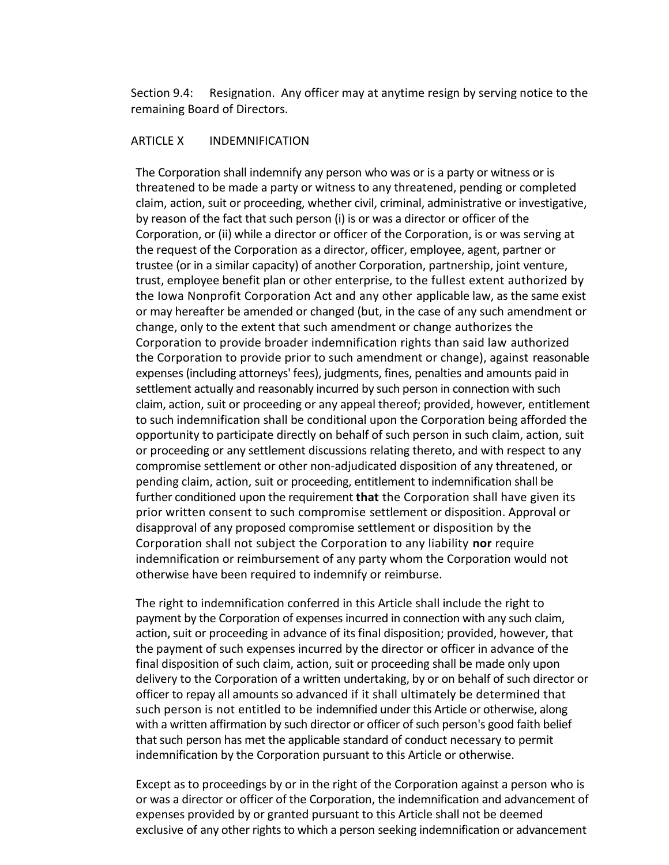Section 9.4: Resignation. Any officer may at anytime resign by serving notice to the remaining Board of Directors.

#### ARTICLE X INDEMNIFICATION

The Corporation shall indemnify any person who was or is a party or witness or is threatened to be made a party or witness to any threatened, pending or completed claim, action, suit or proceeding, whether civil, criminal, administrative or investigative, by reason of the fact that such person (i) is or was a director or officer of the Corporation, or (ii) while a director or officer of the Corporation, is or was serving at the request of the Corporation as a director, officer, employee, agent, partner or trustee (or in a similar capacity) of another Corporation, partnership, joint venture, trust, employee benefit plan or other enterprise, to the fullest extent authorized by the Iowa Nonprofit Corporation Act and any other applicable law, as the same exist or may hereafter be amended or changed (but, in the case of any such amendment or change, only to the extent that such amendment or change authorizes the Corporation to provide broader indemnification rights than said law authorized the Corporation to provide prior to such amendment or change), against reasonable expenses (including attorneys' fees), judgments, fines, penalties and amounts paid in settlement actually and reasonably incurred by such person in connection with such claim, action, suit or proceeding or any appeal thereof; provided, however, entitlement to such indemnification shall be conditional upon the Corporation being afforded the opportunity to participate directly on behalf of such person in such claim, action, suit or proceeding or any settlement discussions relating thereto, and with respect to any compromise settlement or other non-adjudicated disposition of any threatened, or pending claim, action, suit or proceeding, entitlement to indemnification shall be further conditioned upon the requirement **that** the Corporation shall have given its prior written consent to such compromise settlement or disposition. Approval or disapproval of any proposed compromise settlement or disposition by the Corporation shall not subject the Corporation to any liability **nor** require indemnification or reimbursement of any party whom the Corporation would not otherwise have been required to indemnify or reimburse.

The right to indemnification conferred in this Article shall include the right to payment by the Corporation of expenses incurred in connection with any such claim, action, suit or proceeding in advance of its final disposition; provided, however, that the payment of such expenses incurred by the director or officer in advance of the final disposition of such claim, action, suit or proceeding shall be made only upon delivery to the Corporation of a written undertaking, by or on behalf of such director or officer to repay all amounts so advanced if it shall ultimately be determined that such person is not entitled to be indemnified under this Article or otherwise, along with a written affirmation by such director or officer of such person's good faith belief that such person has met the applicable standard of conduct necessary to permit indemnification by the Corporation pursuant to this Article or otherwise.

Except as to proceedings by or in the right of the Corporation against a person who is or was a director or officer of the Corporation, the indemnification and advancement of expenses provided by or granted pursuant to this Article shall not be deemed exclusive of any other rights to which a person seeking indemnification or advancement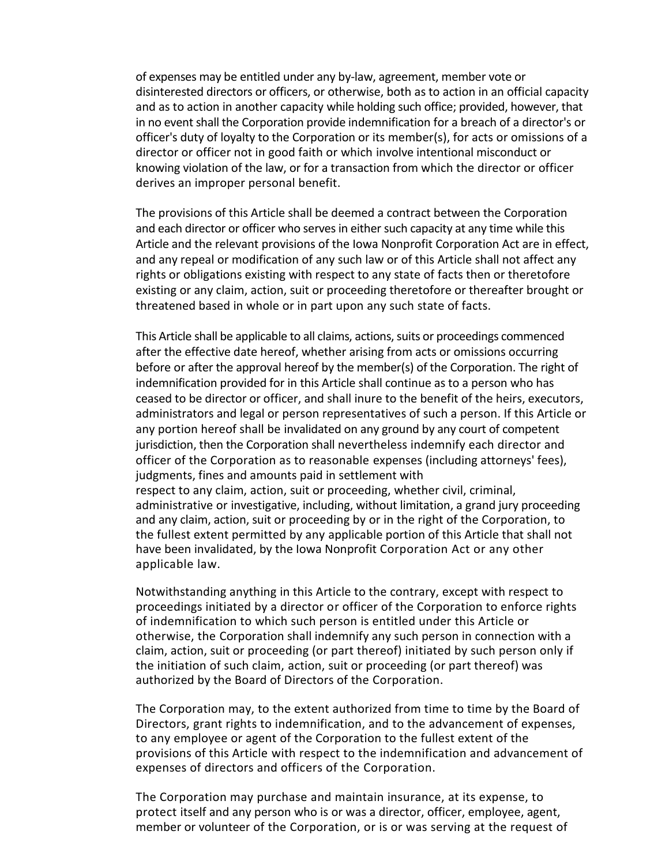of expenses may be entitled under any by-law, agreement, member vote or disinterested directors or officers, or otherwise, both as to action in an official capacity and as to action in another capacity while holding such office; provided, however, that in no event shall the Corporation provide indemnification for a breach of a director's or officer's duty of loyalty to the Corporation or its member(s), for acts or omissions of a director or officer not in good faith or which involve intentional misconduct or knowing violation of the law, or for a transaction from which the director or officer derives an improper personal benefit.

The provisions of this Article shall be deemed a contract between the Corporation and each director or officer who serves in either such capacity at any time while this Article and the relevant provisions of the Iowa Nonprofit Corporation Act are in effect, and any repeal or modification of any such law or of this Article shall not affect any rights or obligations existing with respect to any state of facts then or theretofore existing or any claim, action, suit or proceeding theretofore or thereafter brought or threatened based in whole or in part upon any such state of facts.

This Article shall be applicable to all claims, actions, suits or proceedings commenced after the effective date hereof, whether arising from acts or omissions occurring before or after the approval hereof by the member(s) of the Corporation. The right of indemnification provided for in this Article shall continue as to a person who has ceased to be director or officer, and shall inure to the benefit of the heirs, executors, administrators and legal or person representatives of such a person. If this Article or any portion hereof shall be invalidated on any ground by any court of competent jurisdiction, then the Corporation shall nevertheless indemnify each director and officer of the Corporation as to reasonable expenses (including attorneys' fees), judgments, fines and amounts paid in settlement with respect to any claim, action, suit or proceeding, whether civil, criminal, administrative or investigative, including, without limitation, a grand jury proceeding and any claim, action, suit or proceeding by or in the right of the Corporation, to

the fullest extent permitted by any applicable portion of this Article that shall not have been invalidated, by the Iowa Nonprofit Corporation Act or any other applicable law.

Notwithstanding anything in this Article to the contrary, except with respect to proceedings initiated by a director or officer of the Corporation to enforce rights of indemnification to which such person is entitled under this Article or otherwise, the Corporation shall indemnify any such person in connection with a claim, action, suit or proceeding (or part thereof) initiated by such person only if the initiation of such claim, action, suit or proceeding (or part thereof) was authorized by the Board of Directors of the Corporation.

The Corporation may, to the extent authorized from time to time by the Board of Directors, grant rights to indemnification, and to the advancement of expenses, to any employee or agent of the Corporation to the fullest extent of the provisions of this Article with respect to the indemnification and advancement of expenses of directors and officers of the Corporation.

The Corporation may purchase and maintain insurance, at its expense, to protect itself and any person who is or was a director, officer, employee, agent, member or volunteer of the Corporation, or is or was serving at the request of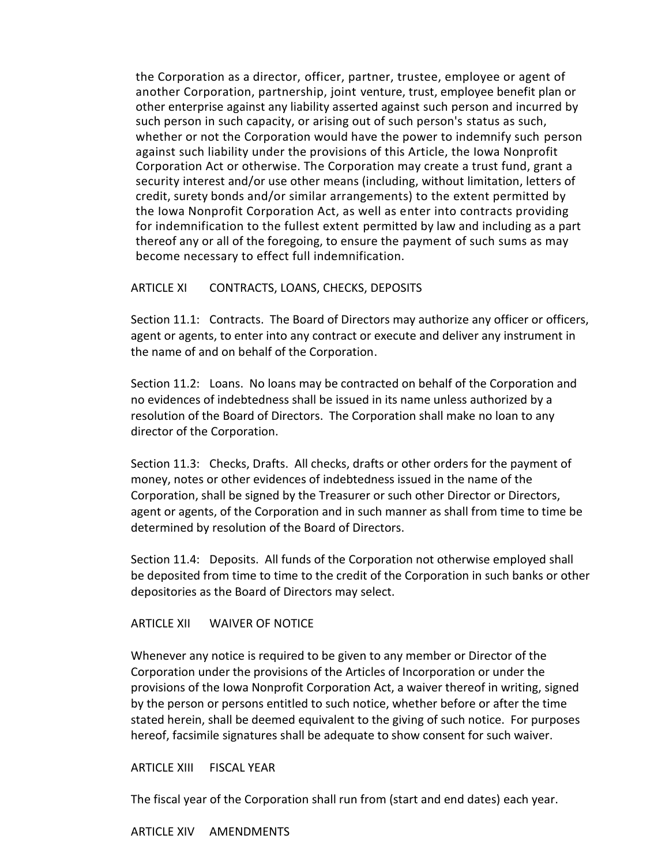the Corporation as a director, officer, partner, trustee, employee or agent of another Corporation, partnership, joint venture, trust, employee benefit plan or other enterprise against any liability asserted against such person and incurred by such person in such capacity, or arising out of such person's status as such, whether or not the Corporation would have the power to indemnify such person against such liability under the provisions of this Article, the Iowa Nonprofit Corporation Act or otherwise. The Corporation may create a trust fund, grant a security interest and/or use other means (including, without limitation, letters of credit, surety bonds and/or similar arrangements) to the extent permitted by the Iowa Nonprofit Corporation Act, as well as enter into contracts providing for indemnification to the fullest extent permitted by law and including as a part thereof any or all of the foregoing, to ensure the payment of such sums as may become necessary to effect full indemnification.

#### ARTICLE XI CONTRACTS, LOANS, CHECKS, DEPOSITS

Section 11.1: Contracts. The Board of Directors may authorize any officer or officers, agent or agents, to enter into any contract or execute and deliver any instrument in the name of and on behalf of the Corporation.

Section 11.2: Loans. No loans may be contracted on behalf of the Corporation and no evidences of indebtedness shall be issued in its name unless authorized by a resolution of the Board of Directors. The Corporation shall make no loan to any director of the Corporation.

Section 11.3: Checks, Drafts. All checks, drafts or other orders for the payment of money, notes or other evidences of indebtedness issued in the name of the Corporation, shall be signed by the Treasurer or such other Director or Directors, agent or agents, of the Corporation and in such manner as shall from time to time be determined by resolution of the Board of Directors.

Section 11.4: Deposits. All funds of the Corporation not otherwise employed shall be deposited from time to time to the credit of the Corporation in such banks or other depositories as the Board of Directors may select.

#### ARTICLE XII WAIVER OF NOTICE

Whenever any notice is required to be given to any member or Director of the Corporation under the provisions of the Articles of Incorporation or under the provisions of the Iowa Nonprofit Corporation Act, a waiver thereof in writing, signed by the person or persons entitled to such notice, whether before or after the time stated herein, shall be deemed equivalent to the giving of such notice. For purposes hereof, facsimile signatures shall be adequate to show consent for such waiver.

#### ARTICLE XIII FISCAL YEAR

The fiscal year of the Corporation shall run from (start and end dates) each year.

ARTICLE XIV AMENDMENTS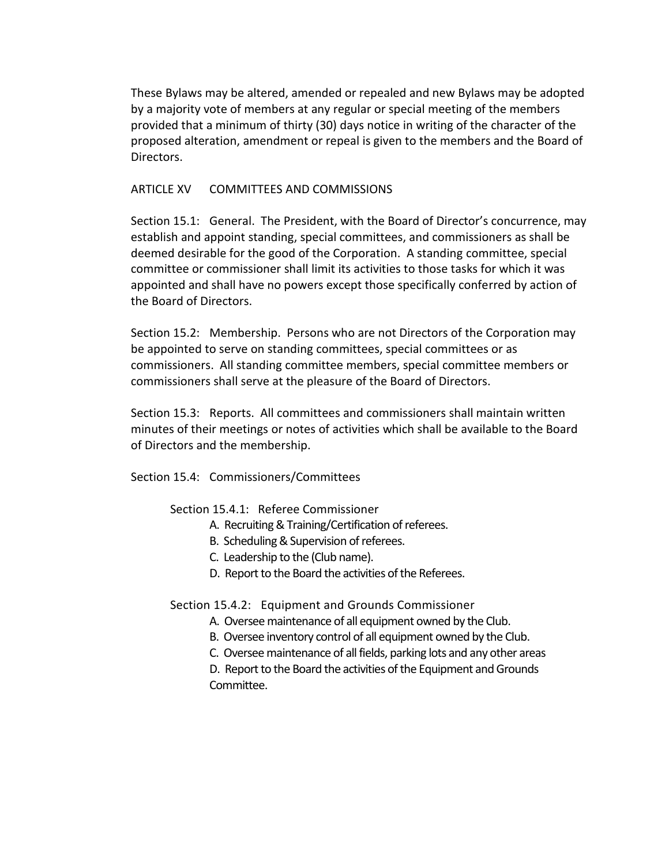These Bylaws may be altered, amended or repealed and new Bylaws may be adopted by a majority vote of members at any regular or special meeting of the members provided that a minimum of thirty (30) days notice in writing of the character of the proposed alteration, amendment or repeal is given to the members and the Board of Directors.

## ARTICLE XV COMMITTEES AND COMMISSIONS

Section 15.1: General. The President, with the Board of Director's concurrence, may establish and appoint standing, special committees, and commissioners as shall be deemed desirable for the good of the Corporation. A standing committee, special committee or commissioner shall limit its activities to those tasks for which it was appointed and shall have no powers except those specifically conferred by action of the Board of Directors.

Section 15.2: Membership. Persons who are not Directors of the Corporation may be appointed to serve on standing committees, special committees or as commissioners. All standing committee members, special committee members or commissioners shall serve at the pleasure of the Board of Directors.

Section 15.3: Reports. All committees and commissioners shall maintain written minutes of their meetings or notes of activities which shall be available to the Board of Directors and the membership.

Section 15.4: Commissioners/Committees

Section 15.4.1: Referee Commissioner

- A. Recruiting & Training/Certification of referees.
- B. Scheduling & Supervision of referees.
- C. Leadership to the (Club name).
- D. Report to the Board the activities of the Referees.

Section 15.4.2: Equipment and Grounds Commissioner

- A. Oversee maintenance of all equipment owned by the Club.
- B. Oversee inventory control of all equipment owned by the Club.
- C. Oversee maintenance of all fields, parking lots and any other areas

D. Report to the Board the activities of the Equipment and Grounds Committee.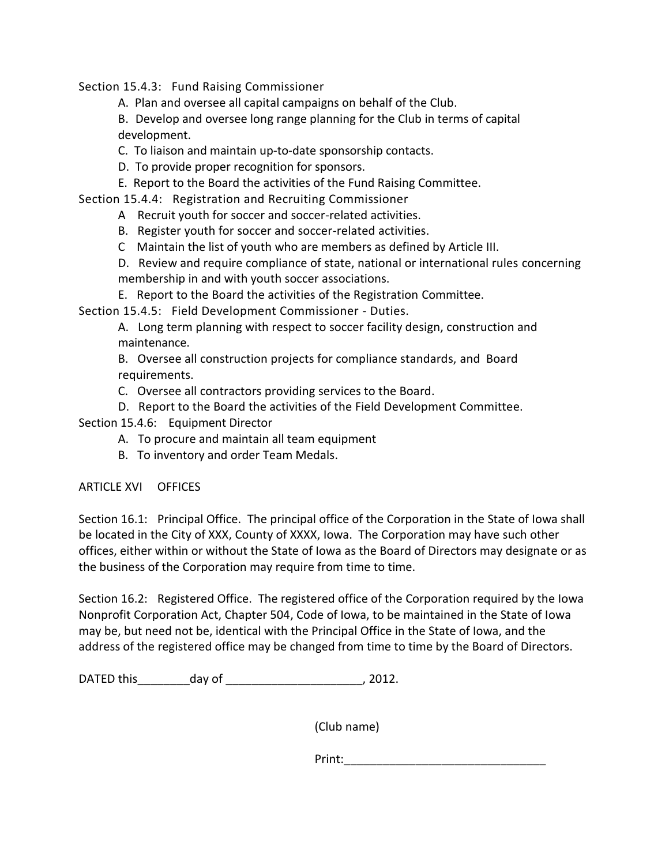Section 15.4.3: Fund Raising Commissioner

A. Plan and oversee all capital campaigns on behalf of the Club.

B. Develop and oversee long range planning for the Club in terms of capital development.

C. To liaison and maintain up-to-date sponsorship contacts.

D. To provide proper recognition for sponsors.

E. Report to the Board the activities of the Fund Raising Committee.

Section 15.4.4: Registration and Recruiting Commissioner

- A Recruit youth for soccer and soccer-related activities.
- B. Register youth for soccer and soccer-related activities.
- C Maintain the list of youth who are members as defined by Article III.

D. Review and require compliance of state, national or international rules concerning membership in and with youth soccer associations.

E. Report to the Board the activities of the Registration Committee.

Section 15.4.5: Field Development Commissioner - Duties.

A. Long term planning with respect to soccer facility design, construction and maintenance.

B. Oversee all construction projects for compliance standards, and Board requirements.

C. Oversee all contractors providing services to the Board.

D. Report to the Board the activities of the Field Development Committee.

Section 15.4.6: Equipment Director

- A. To procure and maintain all team equipment
- B. To inventory and order Team Medals.

## ARTICLE XVI OFFICES

Section 16.1: Principal Office. The principal office of the Corporation in the State of Iowa shall be located in the City of XXX, County of XXXX, Iowa. The Corporation may have such other offices, either within or without the State of Iowa as the Board of Directors may designate or as the business of the Corporation may require from time to time.

Section 16.2: Registered Office. The registered office of the Corporation required by the Iowa Nonprofit Corporation Act, Chapter 504, Code of Iowa, to be maintained in the State of Iowa may be, but need not be, identical with the Principal Office in the State of Iowa, and the address of the registered office may be changed from time to time by the Board of Directors.

DATED this\_\_\_\_\_\_\_\_day of \_\_\_\_\_\_\_\_\_\_\_\_\_\_\_\_\_\_\_\_\_, 2012.

(Club name)

Print:\_\_\_\_\_\_\_\_\_\_\_\_\_\_\_\_\_\_\_\_\_\_\_\_\_\_\_\_\_\_\_